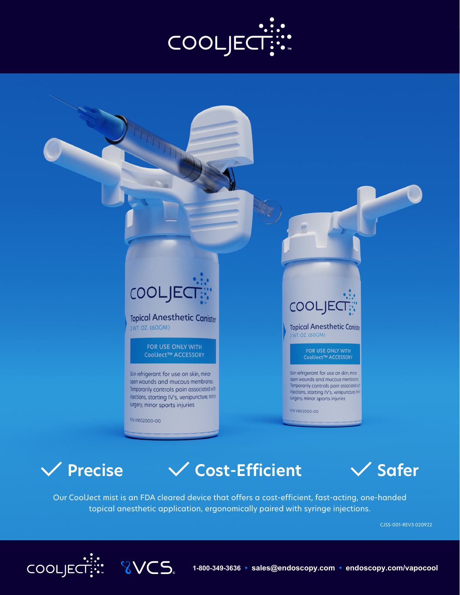



P/N VM02000-00

**8VCS** 

injections, starting IV's, venipuncture, minor

surgery, minor sports injuries

Temporarily controls pain associated with injections, starting IV's, venipuncture, mint surgery, minor sports injuries

P/N VM02000-00



**V** Precise  $\sqrt{}$  Cost-Efficient  $\sqrt{}$  Safer



Our CoolJect mist is an FDA cleared device that offers a cost-efficient, fast-acting, one-handed topical anesthetic application, ergonomically paired with syringe injections.

CJSS-001-REV3 020922